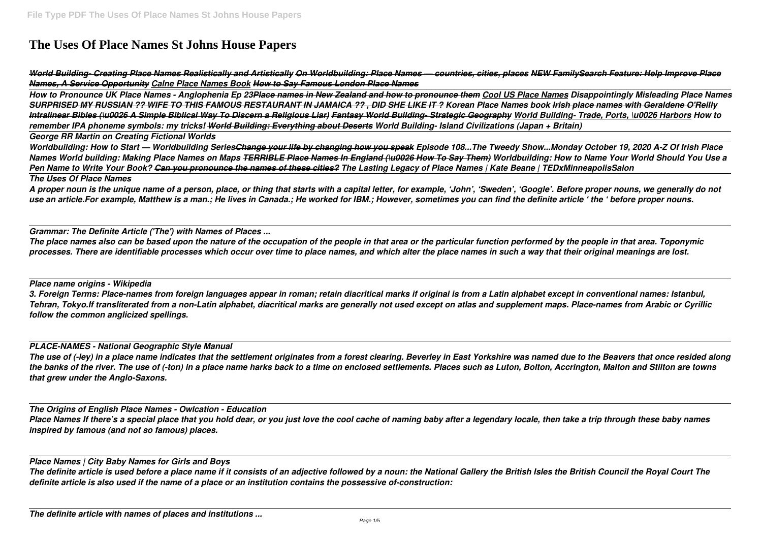# **The Uses Of Place Names St Johns House Papers**

*World Building- Creating Place Names Realistically and Artistically On Worldbuilding: Place Names — countries, cities, places NEW FamilySearch Feature: Help Improve Place Names, A Service Opportunity Calne Place Names Book How to Say Famous London Place Names*

*How to Pronounce UK Place Names - Anglophenia Ep 23Place names in New Zealand and how to pronounce them Cool US Place Names Disappointingly Misleading Place Names SURPRISED MY RUSSIAN ?? WIFE TO THIS FAMOUS RESTAURANT IN JAMAICA ?? , DID SHE LIKE IT ? Korean Place Names book Irish place names with Geraldene O'Reilly Intralinear Bibles (\u0026 A Simple Biblical Way To Discern a Religious Liar) Fantasy World Building- Strategic Geography World Building- Trade, Ports, \u0026 Harbors How to remember IPA phoneme symbols: my tricks! World Building: Everything about Deserts World Building- Island Civilizations (Japan + Britain) George RR Martin on Creating Fictional Worlds*

*Worldbuilding: How to Start — Worldbuilding SeriesChange your life by changing how you speak Episode 108...The Tweedy Show...Monday October 19, 2020 A-Z Of Irish Place Names World building: Making Place Names on Maps TERRIBLE Place Names In England (\u0026 How To Say Them) Worldbuilding: How to Name Your World Should You Use a Pen Name to Write Your Book? Can you pronounce the names of these cities? The Lasting Legacy of Place Names | Kate Beane | TEDxMinneapolisSalon The Uses Of Place Names*

*A proper noun is the unique name of a person, place, or thing that starts with a capital letter, for example, 'John', 'Sweden', 'Google'. Before proper nouns, we generally do not use an article.For example, Matthew is a man.; He lives in Canada.; He worked for IBM.; However, sometimes you can find the definite article ' the ' before proper nouns.*

*Grammar: The Definite Article ('The') with Names of Places ...*

*The place names also can be based upon the nature of the occupation of the people in that area or the particular function performed by the people in that area. Toponymic processes. There are identifiable processes which occur over time to place names, and which alter the place names in such a way that their original meanings are lost.*

*Place name origins - Wikipedia*

*3. Foreign Terms: Place-names from foreign languages appear in roman; retain diacritical marks if original is from a Latin alphabet except in conventional names: Istanbul, Tehran, Tokyo.If transliterated from a non-Latin alphabet, diacritical marks are generally not used except on atlas and supplement maps. Place-names from Arabic or Cyrillic follow the common anglicized spellings.*

# *PLACE-NAMES - National Geographic Style Manual*

*The use of (-ley) in a place name indicates that the settlement originates from a forest clearing. Beverley in East Yorkshire was named due to the Beavers that once resided along the banks of the river. The use of (-ton) in a place name harks back to a time on enclosed settlements. Places such as Luton, Bolton, Accrington, Malton and Stilton are towns that grew under the Anglo-Saxons.*

*The Origins of English Place Names - Owlcation - Education Place Names If there's a special place that you hold dear, or you just love the cool cache of naming baby after a legendary locale, then take a trip through these baby names inspired by famous (and not so famous) places.*

*Place Names | City Baby Names for Girls and Boys*

*The definite article is used before a place name if it consists of an adjective followed by a noun: the National Gallery the British Isles the British Council the Royal Court The definite article is also used if the name of a place or an institution contains the possessive of-construction:*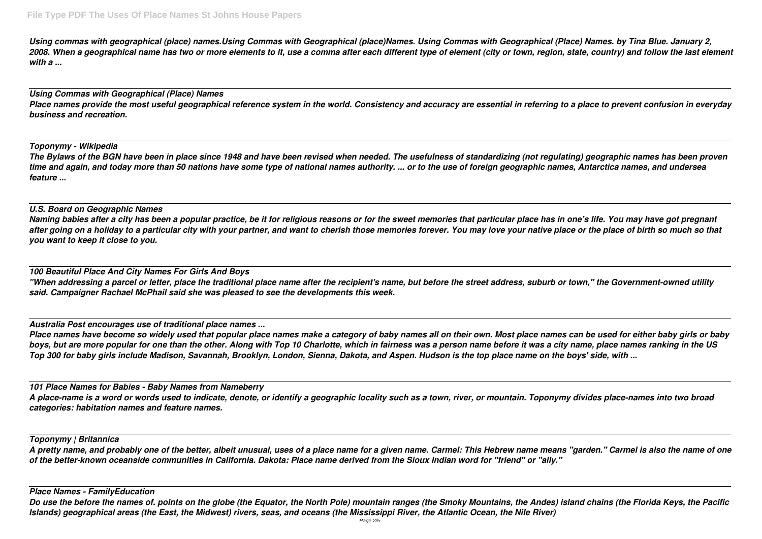*Using commas with geographical (place) names.Using Commas with Geographical (place)Names. Using Commas with Geographical (Place) Names. by Tina Blue. January 2, 2008. When a geographical name has two or more elements to it, use a comma after each different type of element (city or town, region, state, country) and follow the last element with a ...*

# *Using Commas with Geographical (Place) Names Place names provide the most useful geographical reference system in the world. Consistency and accuracy are essential in referring to a place to prevent confusion in everyday business and recreation.*

*Toponymy - Wikipedia*

*The Bylaws of the BGN have been in place since 1948 and have been revised when needed. The usefulness of standardizing (not regulating) geographic names has been proven time and again, and today more than 50 nations have some type of national names authority. ... or to the use of foreign geographic names, Antarctica names, and undersea feature ...*

# *U.S. Board on Geographic Names*

*Naming babies after a city has been a popular practice, be it for religious reasons or for the sweet memories that particular place has in one's life. You may have got pregnant* after going on a holiday to a particular city with your partner, and want to cherish those memories forever. You may love your native place or the place of birth so much so that *you want to keep it close to you.*

## *100 Beautiful Place And City Names For Girls And Boys*

*"When addressing a parcel or letter, place the traditional place name after the recipient's name, but before the street address, suburb or town," the Government-owned utility said. Campaigner Rachael McPhail said she was pleased to see the developments this week.*

Do use the before the names of. points on the globe (the Equator, the North Pole) mountain ranges (the Smoky Mountains, the Andes) island chains (the Florida Keys, the Pacific *Islands) geographical areas (the East, the Midwest) rivers, seas, and oceans (the Mississippi River, the Atlantic Ocean, the Nile River)*

*Australia Post encourages use of traditional place names ...*

*Place names have become so widely used that popular place names make a category of baby names all on their own. Most place names can be used for either baby girls or baby boys, but are more popular for one than the other. Along with Top 10 Charlotte, which in fairness was a person name before it was a city name, place names ranking in the US Top 300 for baby girls include Madison, Savannah, Brooklyn, London, Sienna, Dakota, and Aspen. Hudson is the top place name on the boys' side, with ...*

*101 Place Names for Babies - Baby Names from Nameberry*

*A place-name is a word or words used to indicate, denote, or identify a geographic locality such as a town, river, or mountain. Toponymy divides place-names into two broad categories: habitation names and feature names.*

# *Toponymy | Britannica*

*A pretty name, and probably one of the better, albeit unusual, uses of a place name for a given name. Carmel: This Hebrew name means "garden." Carmel is also the name of one of the better-known oceanside communities in California. Dakota: Place name derived from the Sioux Indian word for "friend" or "ally."*

### *Place Names - FamilyEducation*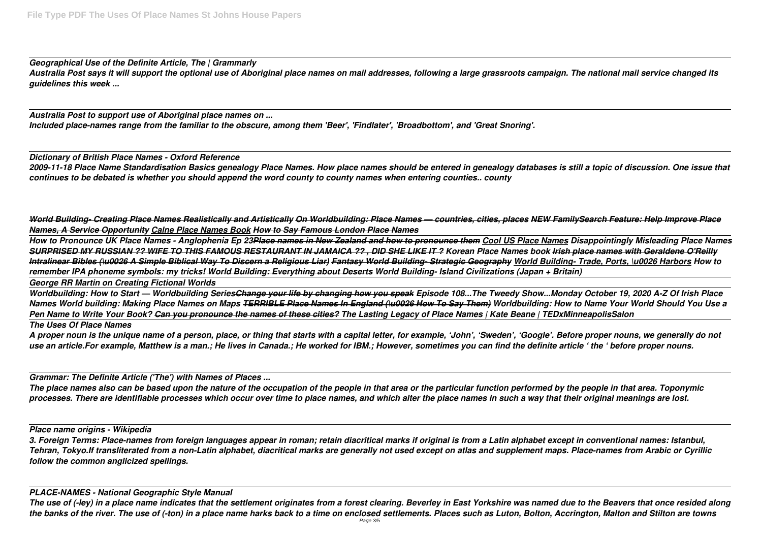*Geographical Use of the Definite Article, The | Grammarly Australia Post says it will support the optional use of Aboriginal place names on mail addresses, following a large grassroots campaign. The national mail service changed its guidelines this week ...*

*Australia Post to support use of Aboriginal place names on ... Included place-names range from the familiar to the obscure, among them 'Beer', 'Findlater', 'Broadbottom', and 'Great Snoring'.*

*Dictionary of British Place Names - Oxford Reference 2009-11-18 Place Name Standardisation Basics genealogy Place Names. How place names should be entered in genealogy databases is still a topic of discussion. One issue that continues to be debated is whether you should append the word county to county names when entering counties.. county*

*World Building- Creating Place Names Realistically and Artistically On Worldbuilding: Place Names — countries, cities, places NEW FamilySearch Feature: Help Improve Place Names, A Service Opportunity Calne Place Names Book How to Say Famous London Place Names*

*How to Pronounce UK Place Names - Anglophenia Ep 23Place names in New Zealand and how to pronounce them Cool US Place Names Disappointingly Misleading Place Names SURPRISED MY RUSSIAN ?? WIFE TO THIS FAMOUS RESTAURANT IN JAMAICA ?? , DID SHE LIKE IT ? Korean Place Names book Irish place names with Geraldene O'Reilly Intralinear Bibles (\u0026 A Simple Biblical Way To Discern a Religious Liar) Fantasy World Building- Strategic Geography World Building- Trade, Ports, \u0026 Harbors How to remember IPA phoneme symbols: my tricks! World Building: Everything about Deserts World Building- Island Civilizations (Japan + Britain) George RR Martin on Creating Fictional Worlds*

*Worldbuilding: How to Start — Worldbuilding SeriesChange your life by changing how you speak Episode 108...The Tweedy Show...Monday October 19, 2020 A-Z Of Irish Place Names World building: Making Place Names on Maps TERRIBLE Place Names In England (\u0026 How To Say Them) Worldbuilding: How to Name Your World Should You Use a Pen Name to Write Your Book? Can you pronounce the names of these cities? The Lasting Legacy of Place Names | Kate Beane | TEDxMinneapolisSalon The Uses Of Place Names*

*A proper noun is the unique name of a person, place, or thing that starts with a capital letter, for example, 'John', 'Sweden', 'Google'. Before proper nouns, we generally do not use an article.For example, Matthew is a man.; He lives in Canada.; He worked for IBM.; However, sometimes you can find the definite article ' the ' before proper nouns.*

*Grammar: The Definite Article ('The') with Names of Places ...*

*The place names also can be based upon the nature of the occupation of the people in that area or the particular function performed by the people in that area. Toponymic processes. There are identifiable processes which occur over time to place names, and which alter the place names in such a way that their original meanings are lost.*

*Place name origins - Wikipedia*

*3. Foreign Terms: Place-names from foreign languages appear in roman; retain diacritical marks if original is from a Latin alphabet except in conventional names: Istanbul, Tehran, Tokyo.If transliterated from a non-Latin alphabet, diacritical marks are generally not used except on atlas and supplement maps. Place-names from Arabic or Cyrillic follow the common anglicized spellings.*

# *PLACE-NAMES - National Geographic Style Manual*

*The use of (-ley) in a place name indicates that the settlement originates from a forest clearing. Beverley in East Yorkshire was named due to the Beavers that once resided along the banks of the river. The use of (-ton) in a place name harks back to a time on enclosed settlements. Places such as Luton, Bolton, Accrington, Malton and Stilton are towns*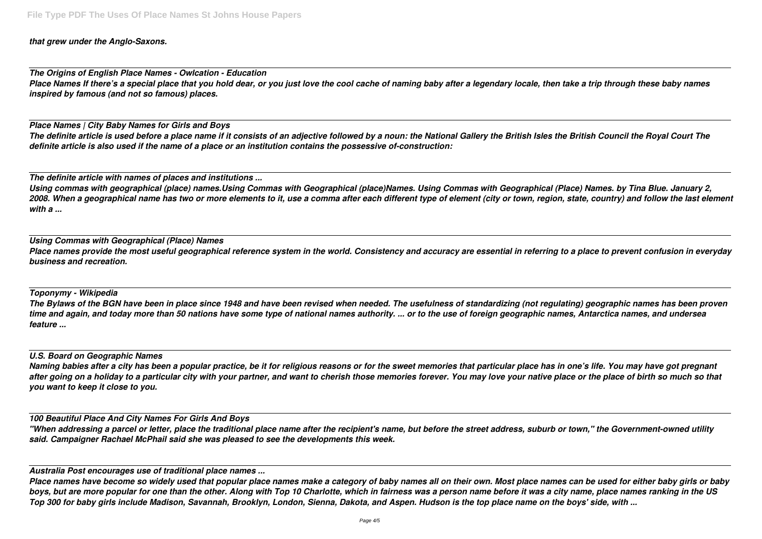*that grew under the Anglo-Saxons.*

*The Origins of English Place Names - Owlcation - Education Place Names If there's a special place that you hold dear, or you just love the cool cache of naming baby after a legendary locale, then take a trip through these baby names inspired by famous (and not so famous) places.*

*Place Names | City Baby Names for Girls and Boys The definite article is used before a place name if it consists of an adjective followed by a noun: the National Gallery the British Isles the British Council the Royal Court The definite article is also used if the name of a place or an institution contains the possessive of-construction:*

*The definite article with names of places and institutions ...*

*Using commas with geographical (place) names.Using Commas with Geographical (place)Names. Using Commas with Geographical (Place) Names. by Tina Blue. January 2, 2008. When a geographical name has two or more elements to it, use a comma after each different type of element (city or town, region, state, country) and follow the last element with a ...*

### *Using Commas with Geographical (Place) Names*

*Place names provide the most useful geographical reference system in the world. Consistency and accuracy are essential in referring to a place to prevent confusion in everyday business and recreation.*

*Toponymy - Wikipedia*

*The Bylaws of the BGN have been in place since 1948 and have been revised when needed. The usefulness of standardizing (not regulating) geographic names has been proven time and again, and today more than 50 nations have some type of national names authority. ... or to the use of foreign geographic names, Antarctica names, and undersea feature ...*

### *U.S. Board on Geographic Names*

*Naming babies after a city has been a popular practice, be it for religious reasons or for the sweet memories that particular place has in one's life. You may have got pregnant after going on a holiday to a particular city with your partner, and want to cherish those memories forever. You may love your native place or the place of birth so much so that you want to keep it close to you.*

*100 Beautiful Place And City Names For Girls And Boys*

*"When addressing a parcel or letter, place the traditional place name after the recipient's name, but before the street address, suburb or town," the Government-owned utility said. Campaigner Rachael McPhail said she was pleased to see the developments this week.*

*Australia Post encourages use of traditional place names ...*

*Place names have become so widely used that popular place names make a category of baby names all on their own. Most place names can be used for either baby girls or baby boys, but are more popular for one than the other. Along with Top 10 Charlotte, which in fairness was a person name before it was a city name, place names ranking in the US Top 300 for baby girls include Madison, Savannah, Brooklyn, London, Sienna, Dakota, and Aspen. Hudson is the top place name on the boys' side, with ...*